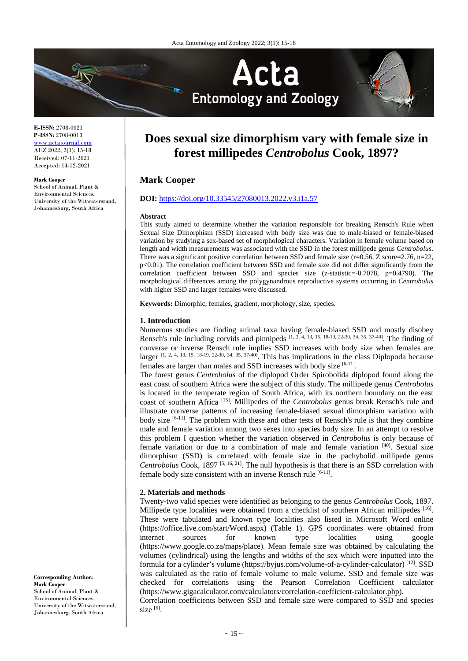

**E-ISSN:** 2708-0021 **P-ISSN:** 2708-0013 www.actajournal.com AEZ 2022; 3(1): 15-18 Received: 07-11-2021 Accepted: 14-12-2021

#### **Mark Cooper**

School of Animal, Plant & Environmental Sciences, University of the Witwatersrand, Johannesburg, South Africa

# **Does sexual size dimorphism vary with female size in forest millipedes** *Centrobolus* **Cook, 1897?**

# **Mark Cooper**

# **DOI:** <https://doi.org/10.33545/27080013.2022.v3.i1a.57>

#### **Abstract**

This study aimed to determine whether the variation responsible for breaking Rensch's Rule when Sexual Size Dimorphism (SSD) increased with body size was due to male-biased or female-biased variation by studying a sex-based set of morphological characters*.* Variation in female volume based on length and width measurements was associated with the SSD in the forest millipede genus *Centrobolus*. There was a significant positive correlation between SSD and female size  $(r=0.56, Z \text{ score}=2.76, n=22,$ p<0.01). The correlation coefficient between SSD and female size did not differ significantly from the correlation coefficient between SSD and species size (z-statistic=-0.7078, p=0.4790). The morphological differences among the polygynandrous reproductive systems occurring in *Centrobolus* with higher SSD and larger females were discussed.

**Keywords:** Dimorphic, females, gradient, morphology, size, species.

## **1. Introduction**

Numerous studies are finding animal taxa having female-biased SSD and mostly disobey Rensch's rule including corvids and pinnipeds  $[1, 2, 4, 13, 15, 18, 19, 22, 30, 34, 35, 37, 40]$ . The finding of converse or inverse Rensch rule implies SSD increases with body size when females are larger  $[1, 2, 4, 13, 15, 18-19, 22-30, 34, 35, 37-40]$ . This has implications in the class Diplopoda because females are larger than males and SSD increases with body size [6-11].

The forest genus *Centrobolus* of the diplopod Order Spirobolida diplopod found along the east coast of southern Africa were the subject of this study. The millipede genus *Centrobolus*  is located in the temperate region of South Africa, with its northern boundary on the east coast of southern Africa [15]. Millipedes of the *Centrobolus* genus break Rensch's rule and illustrate converse patterns of increasing female-biased sexual dimorphism variation with body size [6-11]. The problem with these and other tests of Rensch's rule is that they combine male and female variation among two sexes into species body size. In an attempt to resolve this problem I question whether the variation observed in *Centrobolus* is only because of female variation or due to a combination of male and female variation [40]. Sexual size dimorphism (SSD) is correlated with female size in the pachybolid millipede genus *Centrobolus* Cook, 1897 [5, 16, 21]. The null hypothesis is that there is an SSD correlation with female body size consistent with an inverse Rensch rule [6-11].

# **2. Materials and methods**

Twenty-two valid species were identified as belonging to the genus *Centrobolus* Cook, 1897. Millipede type localities were obtained from a checklist of southern African millipedes [16]. These were tabulated and known type localities also listed in Microsoft Word online (https://office.live.com/start/Word.aspx) (Table 1). GPS coordinates were obtained from internet sources for known type localities using google (https://www.google.co.za/maps/place). Mean female size was obtained by calculating the volumes (cylindrical) using the lengths and widths of the sex which were inputted into the formula for a cylinder's volume (https://byjus.com/volume-of-a-cylinder-calculator) [12]. SSD was calculated as the ratio of female volume to male volume. SSD and female size was checked for correlations using the Pearson Correlation Coefficient calculator (https://www.gigacalculator.com/calculators/correlation-coefficient-calculator.php). Correlation coefficients between SSD and female size were compared to SSD and species size $[6]$ .

## **Corresponding Author: Mark Cooper**

School of Animal, Plant  $\&$ Environmental Sciences, University of the Witwatersrand, Johannesburg, South Africa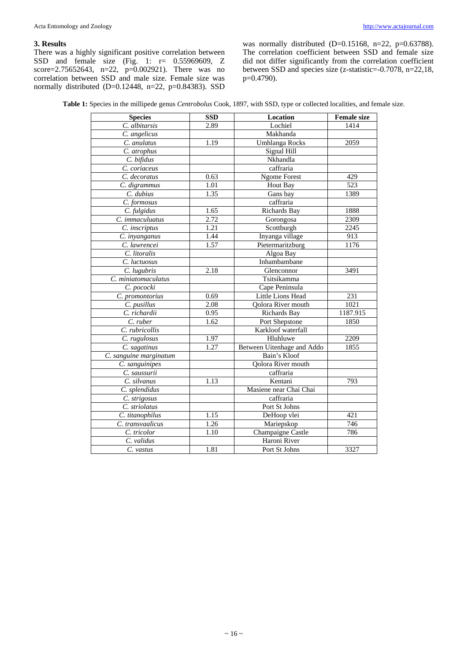# **3. Results**

There was a highly significant positive correlation between SSD and female size (Fig. 1: r= 0.55969609, Z score=2.75652643, n=22, p=0.002921). There was no correlation between SSD and male size. Female size was normally distributed (D=0.12448, n=22, p=0.84383). SSD was normally distributed (D=0.15168, n=22, p=0.63788). The correlation coefficient between SSD and female size did not differ significantly from the correlation coefficient between SSD and species size (z-statistic=-0.7078, n=22,18, p=0.4790).

| <b>Species</b>         | <b>SSD</b> | Location                   | <b>Female size</b> |
|------------------------|------------|----------------------------|--------------------|
| C. albitarsis          | 2.89       | Lochiel                    | 1414               |
| C. angelicus           |            | Makhanda                   |                    |
| C. anulatus            | 1.19       | Umhlanga Rocks             | 2059               |
| C. atrophus            |            | Signal Hill                |                    |
| C. bifidus             |            | Nkhandla                   |                    |
| C. coriaceus           |            | caffraria                  |                    |
| C. decoratus           | 0.63       | <b>Ngome Forest</b>        | 429                |
| C. digrammus           | 1.01       | Hout Bay                   | 523                |
| C. dubius              | 1.35       | Gans bay                   | 1389               |
| C. formosus            |            | caffraria                  |                    |
| C. fulgidus            | 1.65       | <b>Richards Bay</b>        | 1888               |
| C. immaculuatus        | 2.72       | Gorongosa                  | 2309               |
| C. inscriptus          | 1.21       | Scottburgh                 | 2245               |
| C. inyanganus          | 1.44       | Inyanga village            | 913                |
| C. lawrencei           | 1.57       | Pietermaritzburg           | 1176               |
| C. litoralis           |            | Algoa Bay                  |                    |
| C. luctuosus           |            | Inhambambane               |                    |
| C. lugubris            | 2.18       | Glenconnor                 | 3491               |
| C. miniatomaculatus    |            | Tsitsikamma                |                    |
| C. pococki             |            | Cape Peninsula             |                    |
| C. promontorius        | 0.69       | Little Lions Head          | 231                |
| C. pusillus            | 2.08       | Oolora River mouth         | 1021               |
| C. richardii           | 0.95       | Richards Bay               | 1187.915           |
| C. ruber               | 1.62       | Port Shepstone             | 1850               |
| C. rubricollis         |            | Karkloof waterfall         |                    |
| C. rugulosus           | 1.97       | Hluhluwe                   | 2209               |
| C. sagatinus           | 1.27       | Between Uitenhage and Addo | 1855               |
| C. sanguine marginatum |            | Bain's Kloof               |                    |
| C. sanguinipes         |            | Qolora River mouth         |                    |
| C. saussurii           |            | caffraria                  |                    |
| C. silvanus            | 1.13       | Kentani                    | 793                |
| C. splendidus          |            | Masiene near Chai Chai     |                    |
| C. strigosus           |            | caffraria                  |                    |
| C. striolatus          |            | Port St Johns              |                    |
| C. titanophilus        | 1.15       | DeHoop vlei                | 421                |
| C. transvaalicus       | 1.26       | Mariepskop                 | 746                |
| C. tricolor            | 1.10       | Champaigne Castle          | 786                |
| C. validus             |            | Haroni River               |                    |
| C. vastus              | 1.81       | Port St Johns              | 3327               |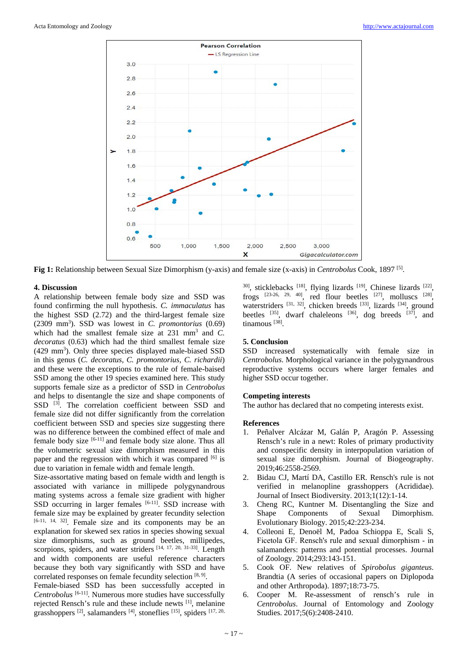

**Fig 1:** Relationship between Sexual Size Dimorphism (y-axis) and female size (x-axis) in *Centrobolus* Cook, 1897 [5].

# **4. Discussion**

A relationship between female body size and SSD was found confirming the null hypothesis. *C. immaculatus* has the highest SSD (2.72) and the third-largest female size (2309 mm3 ). SSD was lowest in *C. promontorius* (0.69) which had the smallest female size at 231 mm<sup>3</sup> and *C*. *decoratus* (0.63) which had the third smallest female size (429 mm<sup>3</sup>). Only three species displayed male-biased SSD in this genus (*C. decoratus, C. promontorius, C. richardii*) and these were the exceptions to the rule of female-baised SSD among the other 19 species examined here. This study supports female size as a predictor of SSD in *Centrobolus*  and helps to disentangle the size and shape components of SSD <sup>[3]</sup>. The correlation coefficient between SSD and female size did not differ significantly from the correlation coefficient between SSD and species size suggesting there was no difference between the combined effect of male and female body size [6-11] and female body size alone. Thus all the volumetric sexual size dimorphism measured in this paper and the regression with which it was compared [6] is due to variation in female width and female length.

Size-assortative mating based on female width and length is associated with variance in millipede polygynandrous mating systems across a female size gradient with higher SSD occurring in larger females  $[6-11]$ . SSD increase with female size may be explained by greater fecundity selection [6-11, 14, 32]. Female size and its components may be an explanation for skewed sex ratios in species showing sexual size dimorphisms, such as ground beetles, millipedes, scorpions, spiders, and water striders [14, 17, 20, 31-33]. Length and width components are useful reference characters because they both vary significantly with SSD and have correlated responses on female fecundity selection [8, 9].

Female-biased SSD has been successfully accepted in *Centrobolus* [6-11]. Numerous more studies have successfully rejected Rensch's rule and these include newts [1], melanine grasshoppers <sup>[2]</sup>, salamanders <sup>[4]</sup>, stoneflies <sup>[15]</sup>, spiders <sup>[17, 20,</sup>

 $30$ ], sticklebacks  $[18]$ , flying lizards  $[19]$ , Chinese lizards  $[22]$ , frogs  $[23-26, 29, 40]$ , red flour beetles  $[27]$ , molluscs  $[28]$ , waterstriders <sup>[31, 32]</sup>, chicken breeds <sup>[33]</sup>, lizards <sup>[34]</sup>, ground beetles  $^{[35]}$ , dwarf chaleleons  $^{[36]}$ , dog breeds  $^{[37]}$ , and tinamous<sup>[38]</sup>.

# **5. Conclusion**

SSD increased systematically with female size in *Centrobolus*. Morphological variance in the polygynandrous reproductive systems occurs where larger females and higher SSD occur together.

# **Competing interests**

The author has declared that no competing interests exist.

# **References**

- 1. Peñalver Alcázar M, Galán P, Aragón P. Assessing Rensch's rule in a newt: Roles of primary productivity and conspecific density in interpopulation variation of sexual size dimorphism. Journal of Biogeography. 2019;46:2558-2569.
- 2. Bidau CJ, Martí DA, Castillo ER. Rensch's rule is not verified in melanopline grasshoppers (Acrididae). Journal of Insect Biodiversity. 2013;1(12):1-14.
- 3. Cheng RC, Kuntner M. Disentangling the Size and Shape Components of Sexual Dimorphism. Evolutionary Biology. 2015;42:223-234.
- 4. Colleoni E, Denoël M, Padoa Schioppa E, Scali S, Ficetola GF. Rensch's rule and sexual dimorphism ‐ in salamanders: patterns and potential processes. Journal of Zoology. 2014;293:143-151.
- 5. Cook OF. New relatives of *Spirobolus giganteus*. Brandtia (A series of occasional papers on Diplopoda and other Arthropoda). 1897;18:73-75.
- 6. Cooper M. Re-assessment of rensch's rule in *Centrobolus*. Journal of Entomology and Zoology Studies. 2017;5(6):2408-2410.